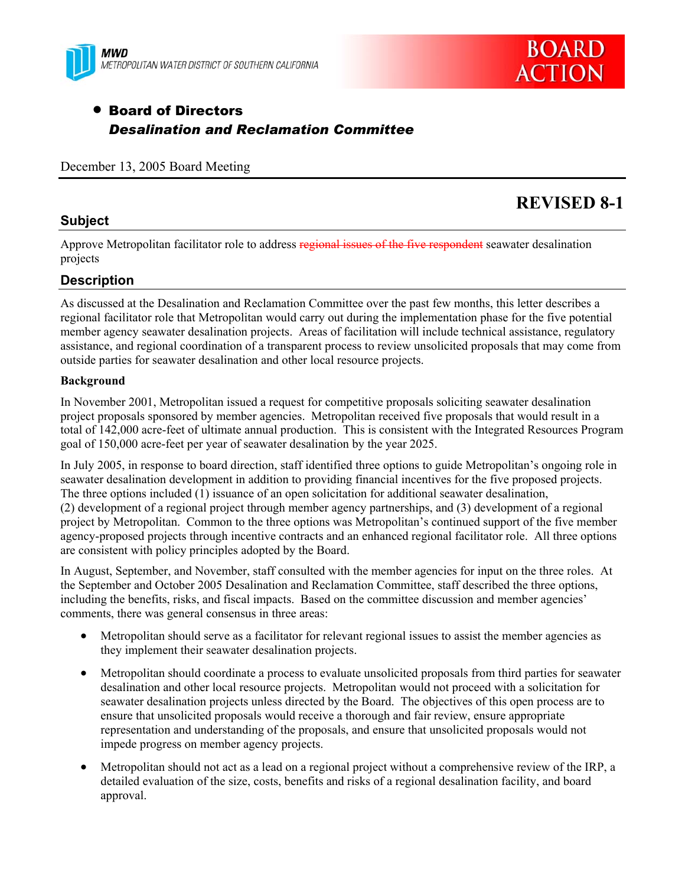



# • Board of Directors *Desalination and Reclamation Committee*

December 13, 2005 Board Meeting

# **REVISED 8-1**

### **Subject**

Approve Metropolitan facilitator role to address regional issues of the five respondent seawater desalination projects

### **Description**

As discussed at the Desalination and Reclamation Committee over the past few months, this letter describes a regional facilitator role that Metropolitan would carry out during the implementation phase for the five potential member agency seawater desalination projects. Areas of facilitation will include technical assistance, regulatory assistance, and regional coordination of a transparent process to review unsolicited proposals that may come from outside parties for seawater desalination and other local resource projects.

### **Background**

In November 2001, Metropolitan issued a request for competitive proposals soliciting seawater desalination project proposals sponsored by member agencies. Metropolitan received five proposals that would result in a total of 142,000 acre-feet of ultimate annual production. This is consistent with the Integrated Resources Program goal of 150,000 acre-feet per year of seawater desalination by the year 2025.

In July 2005, in response to board direction, staff identified three options to guide Metropolitan's ongoing role in seawater desalination development in addition to providing financial incentives for the five proposed projects. The three options included (1) issuance of an open solicitation for additional seawater desalination, (2) development of a regional project through member agency partnerships, and (3) development of a regional project by Metropolitan. Common to the three options was Metropolitan's continued support of the five member agency-proposed projects through incentive contracts and an enhanced regional facilitator role. All three options are consistent with policy principles adopted by the Board.

In August, September, and November, staff consulted with the member agencies for input on the three roles. At the September and October 2005 Desalination and Reclamation Committee, staff described the three options, including the benefits, risks, and fiscal impacts. Based on the committee discussion and member agencies' comments, there was general consensus in three areas:

- Metropolitan should serve as a facilitator for relevant regional issues to assist the member agencies as they implement their seawater desalination projects.
- Metropolitan should coordinate a process to evaluate unsolicited proposals from third parties for seawater desalination and other local resource projects. Metropolitan would not proceed with a solicitation for seawater desalination projects unless directed by the Board. The objectives of this open process are to ensure that unsolicited proposals would receive a thorough and fair review, ensure appropriate representation and understanding of the proposals, and ensure that unsolicited proposals would not impede progress on member agency projects.
- Metropolitan should not act as a lead on a regional project without a comprehensive review of the IRP, a detailed evaluation of the size, costs, benefits and risks of a regional desalination facility, and board approval.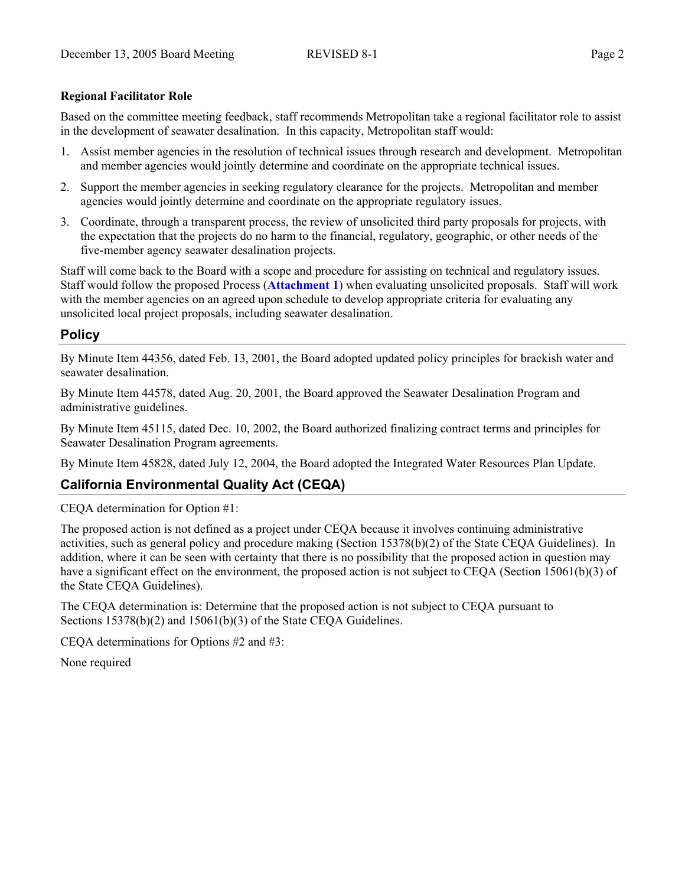### **Regional Facilitator Role**

Based on the committee meeting feedback, staff recommends Metropolitan take a regional facilitator role to assist in the development of seawater desalination. In this capacity, Metropolitan staff would:

- 1. Assist member agencies in the resolution of technical issues through research and development. Metropolitan and member agencies would jointly determine and coordinate on the appropriate technical issues.
- 2. Support the member agencies in seeking regulatory clearance for the projects. Metropolitan and member agencies would jointly determine and coordinate on the appropriate regulatory issues.
- 3. Coordinate, through a transparent process, the review of unsolicited third party proposals for projects, with the expectation that the projects do no harm to the financial, regulatory, geographic, or other needs of the five-member agency seawater desalination projects.

Staff will come back to the Board with a scope and procedure for assisting on technical and regulatory issues. Staff would follow the proposed Process (**Attachment 1**) when evaluating unsolicited proposals. Staff will work with the member agencies on an agreed upon schedule to develop appropriate criteria for evaluating any unsolicited local project proposals, including seawater desalination.

### **Policy**

By Minute Item 44356, dated Feb. 13, 2001, the Board adopted updated policy principles for brackish water and seawater desalination.

By Minute Item 44578, dated Aug. 20, 2001, the Board approved the Seawater Desalination Program and administrative guidelines.

By Minute Item 45115, dated Dec. 10, 2002, the Board authorized finalizing contract terms and principles for Seawater Desalination Program agreements.

By Minute Item 45828, dated July 12, 2004, the Board adopted the Integrated Water Resources Plan Update.

### **California Environmental Quality Act (CEQA)**

CEQA determination for Option #1:

The proposed action is not defined as a project under CEQA because it involves continuing administrative activities, such as general policy and procedure making (Section 15378(b)(2) of the State CEQA Guidelines). In addition, where it can be seen with certainty that there is no possibility that the proposed action in question may have a significant effect on the environment, the proposed action is not subject to CEQA (Section 15061(b)(3) of the State CEQA Guidelines).

The CEQA determination is: Determine that the proposed action is not subject to CEQA pursuant to Sections 15378(b)(2) and 15061(b)(3) of the State CEQA Guidelines.

CEQA determinations for Options #2 and #3:

None required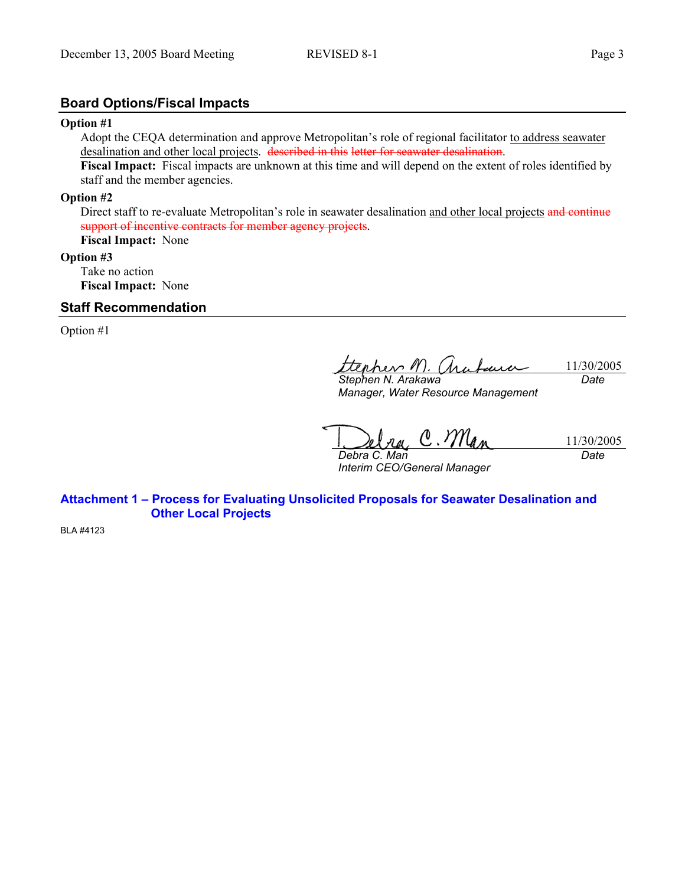### **Board Options/Fiscal Impacts**

#### **Option #1**

Adopt the CEQA determination and approve Metropolitan's role of regional facilitator to address seawater desalination and other local projects. described in this letter for seawater desalination.

**Fiscal Impact:** Fiscal impacts are unknown at this time and will depend on the extent of roles identified by staff and the member agencies.

#### **Option #2**

Direct staff to re-evaluate Metropolitan's role in seawater desalination and other local projects and continue support of incentive contracts for member agency projects.

# **Fiscal Impact:** None

### **Option #3**

Take no action **Fiscal Impact:** None

#### **Staff Recommendation**

Option #1

11/30/2005 *Stephen N. Arakawa Date* 

*Manager, Water Resource Management* 

na, C. Man 11/30/2005 *Debra C. Man Date* 

*Interim CEO/General Manager* 

**Attachment 1 – Process for Evaluating Unsolicited Proposals for Seawater Desalination and Other Local Projects** 

BLA #4123